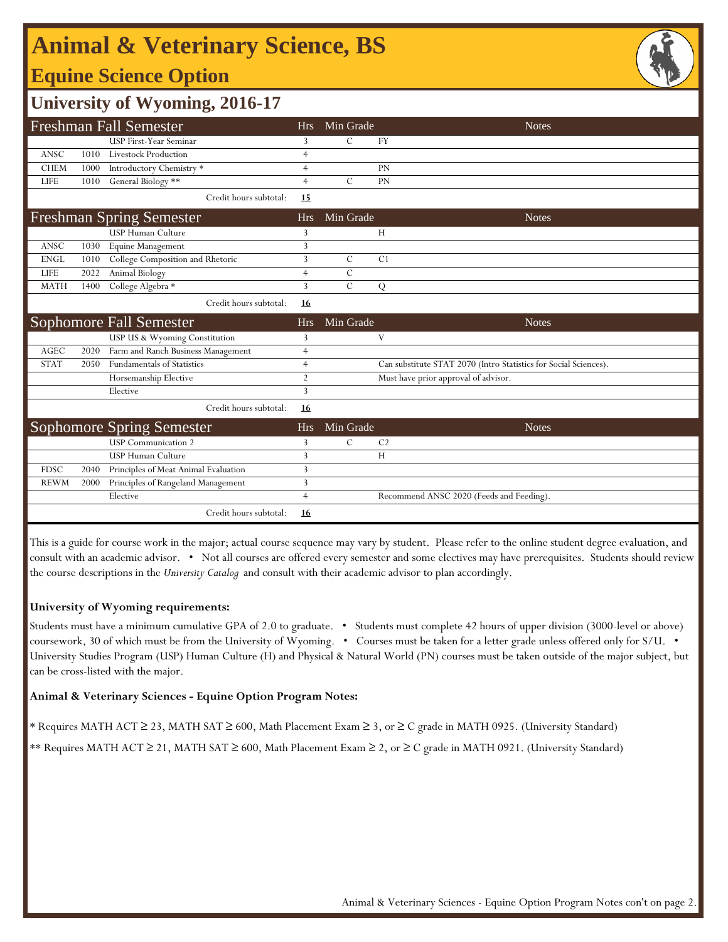# **Animal & Veterinary Science, BS**

### **Equine Science Option**



### **University of Wyoming, 2016-17**

|             |      | <b>Freshman Fall Semester</b>        | <b>Hrs</b>     | Min Grade     | <b>Notes</b>                                                     |
|-------------|------|--------------------------------------|----------------|---------------|------------------------------------------------------------------|
|             |      | <b>USP First-Year Seminar</b>        | 3              | $\mathcal{C}$ | FY                                                               |
| <b>ANSC</b> | 1010 | Livestock Production                 | $\overline{4}$ |               |                                                                  |
| <b>CHEM</b> | 1000 | Introductory Chemistry *             | $\overline{4}$ |               | PN                                                               |
| LIFE        | 1010 | General Biology **                   | $\overline{4}$ | $\mathcal{C}$ | PN                                                               |
|             |      | Credit hours subtotal:               | <u>15</u>      |               |                                                                  |
|             |      | <b>Freshman Spring Semester</b>      | <b>Hrs</b>     | Min Grade     | <b>Notes</b>                                                     |
|             |      | <b>USP Human Culture</b>             | 3              |               | H                                                                |
| ANSC        | 1030 | Equine Management                    | 3              |               |                                                                  |
| <b>ENGL</b> | 1010 | College Composition and Rhetoric     | 3              | $\mathcal{C}$ | C <sub>1</sub>                                                   |
| LIFE        | 2022 | Animal Biology                       | $\overline{4}$ | $\mathcal{C}$ |                                                                  |
| <b>MATH</b> | 1400 | College Algebra *                    | 3              | $\mathcal{C}$ | Q                                                                |
|             |      | Credit hours subtotal:               | <u>16</u>      |               |                                                                  |
|             |      | Sophomore Fall Semester              | <b>Hrs</b>     | Min Grade     | <b>Notes</b>                                                     |
|             |      | USP US & Wyoming Constitution        | 3              |               | V                                                                |
| <b>AGEC</b> | 2020 | Farm and Ranch Business Management   | $\overline{4}$ |               |                                                                  |
| <b>STAT</b> | 2050 | <b>Fundamentals of Statistics</b>    | $\overline{4}$ |               | Can substitute STAT 2070 (Intro Statistics for Social Sciences). |
|             |      | Horsemanship Elective                | $\overline{2}$ |               | Must have prior approval of advisor.                             |
|             |      | Elective                             | 3              |               |                                                                  |
|             |      | Credit hours subtotal:               | 16             |               |                                                                  |
|             |      | <b>Sophomore Spring Semester</b>     | <b>Hrs</b>     | Min Grade     | <b>Notes</b>                                                     |
|             |      | <b>USP</b> Communication 2           | 3              | $\mathcal{C}$ | C <sub>2</sub>                                                   |
|             |      | <b>USP Human Culture</b>             | 3              |               | H                                                                |
| <b>FDSC</b> | 2040 | Principles of Meat Animal Evaluation | 3              |               |                                                                  |
| <b>REWM</b> | 2000 | Principles of Rangeland Management   | 3              |               |                                                                  |
|             |      | Elective                             | $\overline{4}$ |               | Recommend ANSC 2020 (Feeds and Feeding).                         |
|             |      | Credit hours subtotal:               | 16             |               |                                                                  |

This is a guide for course work in the major; actual course sequence may vary by student. Please refer to the online student degree evaluation, and consult with an academic advisor. • Not all courses are offered every semester and some electives may have prerequisites. Students should review the course descriptions in the *University Catalog* and consult with their academic advisor to plan accordingly.

#### **University of Wyoming requirements:**

Students must have a minimum cumulative GPA of 2.0 to graduate. • Students must complete 42 hours of upper division (3000-level or above) coursework, 30 of which must be from the University of Wyoming. • Courses must be taken for a letter grade unless offered only for S/U. • University Studies Program (USP) Human Culture (H) and Physical & Natural World (PN) courses must be taken outside of the major subject, but can be cross-listed with the major.

#### **Animal & Veterinary Sciences - Equine Option Program Notes:**

\* Requires MATH ACT ≥ 23, MATH SAT ≥ 600, Math Placement Exam ≥ 3, or ≥ C grade in MATH 0925. (University Standard)

\*\* Requires MATH ACT ≥ 21, MATH SAT ≥ 600, Math Placement Exam ≥ 2, or ≥ C grade in MATH 0921. (University Standard)